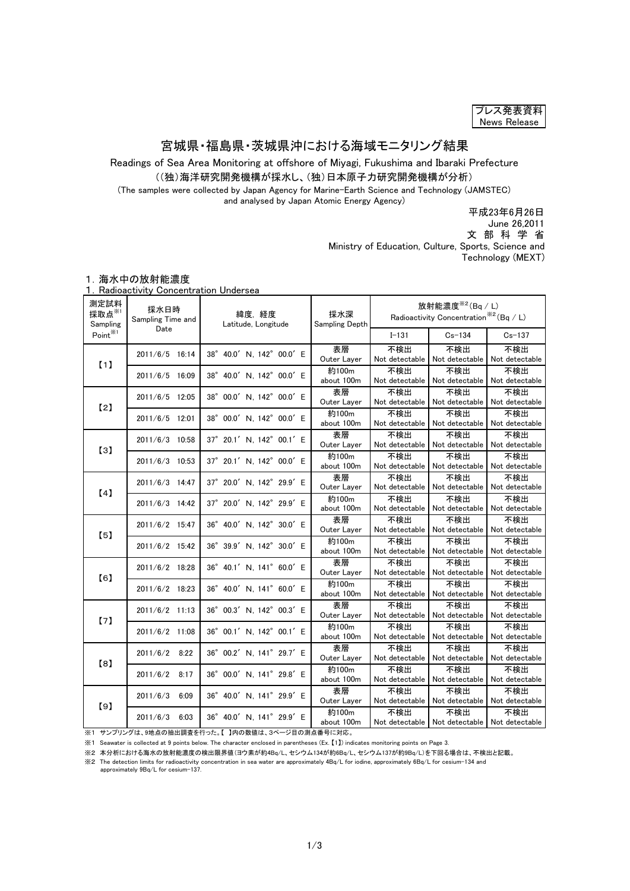## 宮城県・福島県・茨城県沖における海域モニタリング結果

Readings of Sea Area Monitoring at offshore of Miyagi, Fukushima and Ibaraki Prefecture ((独)海洋研究開発機構が採水し、(独)日本原子力研究開発機構が分析)

(The samples were collected by Japan Agency for Marine-Earth Science and Technology (JAMSTEC) and analysed by Japan Atomic Energy Agency)

Ministry of Education, Culture, Sports, Science and Technology (MEXT) June 26,2011 平成23年6月26日 文 部 科 学 省

## 1.海水中の放射能濃度

| 1. Radioactivity Concentration Undersea       |                                   |                               |                       |                                                                                                  |                                              |                       |  |  |  |
|-----------------------------------------------|-----------------------------------|-------------------------------|-----------------------|--------------------------------------------------------------------------------------------------|----------------------------------------------|-----------------------|--|--|--|
| 測定試料<br>採取点 $^{\divideontimes 1}$<br>Sampling | 採水日時<br>Sampling Time and<br>Date | 緯度, 経度<br>Latitude, Longitude | 採水深<br>Sampling Depth | 放射能濃度 $*^2$ (Bq / L)<br>Radioactivity Concentration <sup><math>\frac{3}{2}</math></sup> (Ba / L) |                                              |                       |  |  |  |
| $\mathsf{Point}^{\divideontimes 1}$           |                                   |                               |                       | $I - 131$                                                                                        | $Cs - 134$                                   | $Cs - 137$            |  |  |  |
| (1)                                           | 2011/6/5 16:14                    | 38° 40.0' N, 142° 00.0' E     | 表層                    | 不検出                                                                                              | 不検出                                          | 不検出                   |  |  |  |
|                                               |                                   |                               | Outer Layer           | Not detectable                                                                                   | Not detectable                               | Not detectable        |  |  |  |
|                                               | 2011/6/5 16:09                    | 38° 40.0' N, 142° 00.0' E     | 約100m<br>about 100m   | 不検出<br>Not detectable                                                                            | 不検出<br>Not detectable                        | 不検出<br>Not detectable |  |  |  |
| $\left[2\right]$                              | 2011/6/5 12:05                    | 38° 00.0' N, 142° 00.0' E     | 表層                    | 不検出                                                                                              | 不検出                                          | 不検出                   |  |  |  |
|                                               | 2011/6/5 12:01                    |                               | Outer Layer           | Not detectable<br>不検出                                                                            | Not detectable<br>不検出                        | Not detectable<br>不検出 |  |  |  |
|                                               |                                   | 38° 00.0' N. 142° 00.0' E     | 約100m<br>about 100m   | Not detectable                                                                                   | Not detectable                               | Not detectable        |  |  |  |
| $\left[3\right]$                              | 2011/6/3 10:58                    |                               | 表層                    | 不検出                                                                                              | 不検出                                          | 不検出                   |  |  |  |
|                                               |                                   | 37° 20.1' N. 142° 00.1' E     | Outer Layer           | Not detectable                                                                                   | Not detectable                               | Not detectable        |  |  |  |
|                                               | 2011/6/3 10:53                    | 37° 20.1' N, 142° 00.0' E     | 約100m                 | 不検出                                                                                              | 不検出                                          | 不検出                   |  |  |  |
|                                               |                                   |                               | about 100m            | Not detectable                                                                                   | Not detectable                               | Not detectable        |  |  |  |
| [4]                                           | 2011/6/3 14:47                    | 37° 20.0' N. 142° 29.9' E     | 表層<br>Outer Layer     | 不検出<br>Not detectable                                                                            | 不検出<br>Not detectable                        | 不検出<br>Not detectable |  |  |  |
|                                               | 2011/6/3 14:42                    | 37° 20.0' N, 142° 29.9' E     | 約100m                 | 不検出                                                                                              | 不検出                                          | 不検出                   |  |  |  |
|                                               |                                   |                               | about 100m            | Not detectable                                                                                   | Not detectable                               | Not detectable        |  |  |  |
| [5]                                           | 2011/6/2 15:47<br>2011/6/2 15:42  | 36° 40.0' N, 142° 30.0' E     | 表層                    | 不検出                                                                                              | 不検出                                          | 不検出                   |  |  |  |
|                                               |                                   |                               | Outer Layer           | Not detectable                                                                                   | Not detectable                               | Not detectable        |  |  |  |
|                                               |                                   | 36° 39.9' N, 142° 30.0' E     | 約100m<br>about 100m   | 不検出<br>Not detectable                                                                            | 不検出<br>Not detectable                        | 不検出<br>Not detectable |  |  |  |
| [6]                                           | 2011/6/2 18:28                    |                               | 表層                    | 不検出                                                                                              | 不検出                                          | 不検出                   |  |  |  |
|                                               |                                   | 36° 40.1' N. 141° 60.0' E     | Outer Layer           | Not detectable                                                                                   | Not detectable                               | Not detectable        |  |  |  |
|                                               | 2011/6/2 18:23                    | 36° 40.0' N, 141° 60.0' E     | 約100m                 | 不検出                                                                                              | 不検出                                          | 不検出                   |  |  |  |
|                                               |                                   |                               | about 100m            | Not detectable                                                                                   | Not detectable                               | Not detectable        |  |  |  |
| [7]                                           | 2011/6/2 11:13                    | 36° 00.3' N, 142° 00.3' E     | 表層                    | 不検出                                                                                              | 不検出                                          | 不検出                   |  |  |  |
|                                               |                                   |                               | Outer Layer           | Not detectable                                                                                   | Not detectable                               | Not detectable        |  |  |  |
|                                               | 2011/6/2 11:08                    | 36° 00.1' N, 142° 00.1' E     | 約100m<br>about 100m   | 不検出<br>Not detectable                                                                            | 不検出<br>Not detectable                        | 不検出<br>Not detectable |  |  |  |
| $^{[8]}$                                      | 2011/6/2<br>8:22                  |                               | 表層                    | 不検出                                                                                              | 不検出                                          | 不検出                   |  |  |  |
|                                               |                                   | 36° 00.2' N. 141° 29.7' E     | Outer Layer           | Not detectable                                                                                   | Not detectable                               | Not detectable        |  |  |  |
|                                               | 2011/6/2<br>8:17                  | 36° 00.0' N. 141° 29.8' E     | 約100m                 | 不検出                                                                                              | 不検出                                          | 不検出                   |  |  |  |
|                                               |                                   |                               | about 100m            | Not detectable                                                                                   | Not detectable                               | Not detectable        |  |  |  |
| [9]                                           | 2011/6/3<br>6:09                  | 36° 40.0' N, 141° 29.9' E     | 表層                    | 不検出                                                                                              | 不検出                                          | 不検出                   |  |  |  |
|                                               |                                   |                               | Outer Layer           | Not detectable                                                                                   | Not detectable<br>不検出                        | Not detectable<br>不検出 |  |  |  |
|                                               | 2011/6/3<br>6:03                  | 36° 40.0' N, 141° 29.9' E     | 約100m<br>about 100m   | 不検出                                                                                              | Not detectable Not detectable Not detectable |                       |  |  |  |

※1 サンプリングは、9地点の抽出調査を行った。【 】内の数値は、3ページ目の測点番号に対応。

※1 Seawater is collected at 9 points below. The character enclosed in parentheses (Ex. 【1】) indicates monitoring points on Page 3.

※2 本分析における海水の放射能濃度の検出限界値(ヨウ素が約4Bq/L、セシウム134が約6Bq/L、セシウム137が約9Bq/L)を下回る場合は、不検出と記載。

※2 The detection limits for radioactivity concentration in sea water are approximately 4Bq/L for iodine, approximately 6Bq/L for cesium-134 and approximately 9Bq/L for cesium-137.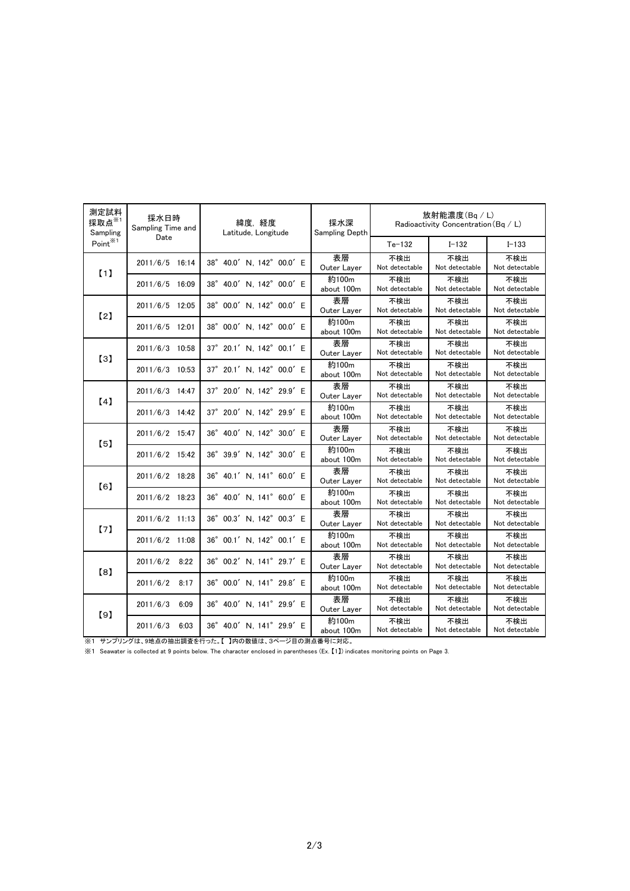| 測定試料<br>採取点 $*1$<br>Sampling | 採水日時<br>Sampling Time and<br>Date | 緯度 経度<br>Latitude, Longitude | 採水深<br>Sampling Depth | 放射能濃度(Bg / L)<br>Radioactivity Concentration (Bq $/ L$ ) |                       |                       |
|------------------------------|-----------------------------------|------------------------------|-----------------------|----------------------------------------------------------|-----------------------|-----------------------|
| $Point^{\divideontimes 1}$   |                                   |                              |                       | $Te-132$                                                 | $I - 132$             | $I - 133$             |
| (1)                          | $2011/6/5$ 16:14                  | 38° 40.0' N. 142° 00.0' E    | 表層<br>Outer Layer     | 不検出<br>Not detectable                                    | 不検出<br>Not detectable | 不検出<br>Not detectable |
|                              | 2011/6/5 16:09                    | 38° 40.0' N. 142° 00.0' E    | 約100m<br>about 100m   | 不検出<br>Not detectable                                    | 不検出<br>Not detectable | 不検出<br>Not detectable |
| $\left[2\right]$             | 2011/6/5 12:05                    | 38° 00.0' N, 142° 00.0' E    | 表層<br>Outer Layer     | 不検出<br>Not detectable                                    | 不検出<br>Not detectable | 不検出<br>Not detectable |
|                              | 2011/6/5 12:01                    | 38° 00.0' N, 142° 00.0' E    | 約100m<br>about 100m   | 不検出<br>Not detectable                                    | 不検出<br>Not detectable | 不検出<br>Not detectable |
| $\left[3\right]$             | $2011/6/3$ 10:58                  | 37° 20.1' N, 142° 00.1' E    | 表層<br>Outer Layer     | 不検出<br>Not detectable                                    | 不検出<br>Not detectable | 不検出<br>Not detectable |
|                              | $2011/6/3$ 10:53                  | 37° 20.1' N, 142° 00.0' E    | 約100m<br>about 100m   | 不検出<br>Not detectable                                    | 不検出<br>Not detectable | 不検出<br>Not detectable |
| [4]                          | 2011/6/3 14:47                    | 37° 20.0' N, 142° 29.9' E    | 表層<br>Outer Layer     | 不検出<br>Not detectable                                    | 不検出<br>Not detectable | 不検出<br>Not detectable |
|                              | 2011/6/3 14:42                    | 37° 20.0' N, 142° 29.9' E    | 約100m<br>about 100m   | 不検出<br>Not detectable                                    | 不検出<br>Not detectable | 不検出<br>Not detectable |
| [5]                          | 2011/6/2 15:47                    | 36° 40.0' N, 142° 30.0' E    | 表層<br>Outer Layer     | 不検出<br>Not detectable                                    | 不検出<br>Not detectable | 不検出<br>Not detectable |
|                              | 2011/6/2 15:42                    | 36° 39.9' N, 142° 30.0' E    | 約100m<br>about 100m   | 不検出<br>Not detectable                                    | 不検出<br>Not detectable | 不検出<br>Not detectable |
| [6]                          | 2011/6/2 18:28                    | 36° 40.1' N. 141° 60.0' E    | 表層<br>Outer Laver     | 不検出<br>Not detectable                                    | 不検出<br>Not detectable | 不検出<br>Not detectable |
|                              | 2011/6/2 18:23                    | 36° 40.0' N. 141° 60.0' E    | 約100m<br>about 100m   | 不検出<br>Not detectable                                    | 不検出<br>Not detectable | 不検出<br>Not detectable |
| [7]                          | $2011/6/2$ 11:13                  | 36° 00.3' N, 142° 00.3' E    | 表層<br>Outer Layer     | 不検出<br>Not detectable                                    | 不検出<br>Not detectable | 不検出<br>Not detectable |
|                              | 2011/6/2 11:08                    | 36° 00.1' N. 142° 00.1' E    | 約100m<br>about 100m   | 不検出<br>Not detectable                                    | 不検出<br>Not detectable | 不検出<br>Not detectable |
| $^{[8]}$                     | 2011/6/2<br>8:22                  | 36° 00.2' N. 141° 29.7' E    | 表層<br>Outer Layer     | 不検出<br>Not detectable                                    | 不検出<br>Not detectable | 不検出<br>Not detectable |
|                              | 2011/6/2<br>8:17                  | 36° 00.0' N, 141° 29.8' E    | 約100m<br>about 100m   | 不検出<br>Not detectable                                    | 不検出<br>Not detectable | 不検出<br>Not detectable |
| $\lbrack 9 \rbrack$          | 2011/6/3<br>6:09                  | 36° 40.0' N, 141° 29.9' E    | 表層<br>Outer Layer     | 不検出<br>Not detectable                                    | 不検出<br>Not detectable | 不検出<br>Not detectable |
|                              | 2011/6/3<br>6:03                  | 36° 40.0' N, 141° 29.9' E    | 約100m<br>about 100m   | 不検出<br>Not detectable                                    | 不検出<br>Not detectable | 不検出<br>Not detectable |

-<br>※1 サンプリングは、9地点の抽出調査を行った。【 】内の数値は、3ページ目の測点番号に対応。

※1 Seawater is collected at 9 points below. The character enclosed in parentheses (Ex. 【1】) indicates monitoring points on Page 3.